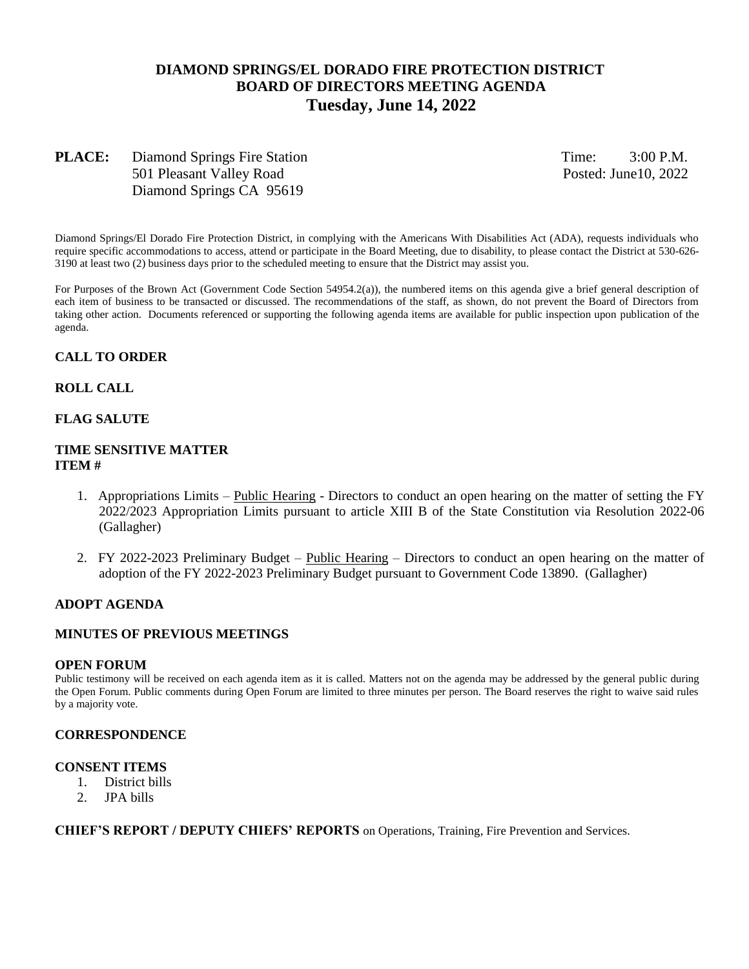# **DIAMOND SPRINGS/EL DORADO FIRE PROTECTION DISTRICT BOARD OF DIRECTORS MEETING AGENDA Tuesday, June 14, 2022**

# **PLACE:** Diamond Springs Fire Station Time: 3:00 P.M. 501 Pleasant Valley RoadPosted: June10, 2022 Diamond Springs CA 95619

Diamond Springs/El Dorado Fire Protection District, in complying with the Americans With Disabilities Act (ADA), requests individuals who require specific accommodations to access, attend or participate in the Board Meeting, due to disability, to please contact the District at 530-626- 3190 at least two (2) business days prior to the scheduled meeting to ensure that the District may assist you.

For Purposes of the Brown Act (Government Code Section 54954.2(a)), the numbered items on this agenda give a brief general description of each item of business to be transacted or discussed. The recommendations of the staff, as shown, do not prevent the Board of Directors from taking other action. Documents referenced or supporting the following agenda items are available for public inspection upon publication of the agenda.

# **CALL TO ORDER**

#### **ROLL CALL**

#### **FLAG SALUTE**

#### **TIME SENSITIVE MATTER ITEM #**

- 1. Appropriations Limits Public Hearing Directors to conduct an open hearing on the matter of setting the FY 2022/2023 Appropriation Limits pursuant to article XIII B of the State Constitution via Resolution 2022-06 (Gallagher)
- 2. FY 2022-2023 Preliminary Budget Public Hearing Directors to conduct an open hearing on the matter of adoption of the FY 2022-2023 Preliminary Budget pursuant to Government Code 13890. (Gallagher)

#### **ADOPT AGENDA**

#### **MINUTES OF PREVIOUS MEETINGS**

#### **OPEN FORUM**

Public testimony will be received on each agenda item as it is called. Matters not on the agenda may be addressed by the general public during the Open Forum. Public comments during Open Forum are limited to three minutes per person. The Board reserves the right to waive said rules by a majority vote.

#### **CORRESPONDENCE**

## **CONSENT ITEMS**

- 1. District bills
- 2. JPA bills

**CHIEF'S REPORT / DEPUTY CHIEFS' REPORTS** on Operations, Training, Fire Prevention and Services.